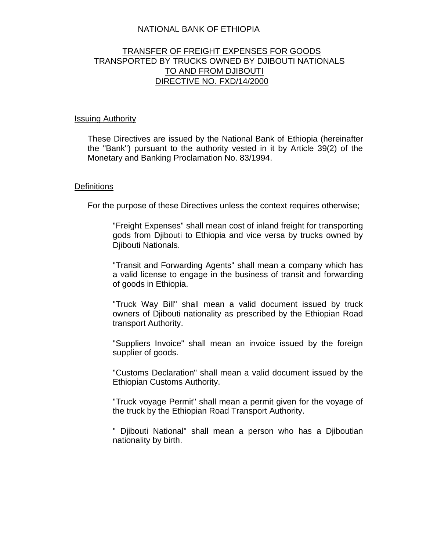# NATIONAL BANK OF ETHIOPIA

# TRANSFER OF FREIGHT EXPENSES FOR GOODS TRANSPORTED BY TRUCKS OWNED BY DJIBOUTI NATIONALS TO AND FROM DJIBOUTI DIRECTIVE NO. FXD/14/2000

#### Issuing Authority

These Directives are issued by the National Bank of Ethiopia (hereinafter the "Bank") pursuant to the authority vested in it by Article 39(2) of the Monetary and Banking Proclamation No. 83/1994.

#### **Definitions**

For the purpose of these Directives unless the context requires otherwise;

"Freight Expenses" shall mean cost of inland freight for transporting gods from Djibouti to Ethiopia and vice versa by trucks owned by Djibouti Nationals.

"Transit and Forwarding Agents" shall mean a company which has a valid license to engage in the business of transit and forwarding of goods in Ethiopia.

"Truck Way Bill" shall mean a valid document issued by truck owners of Djibouti nationality as prescribed by the Ethiopian Road transport Authority.

"Suppliers Invoice" shall mean an invoice issued by the foreign supplier of goods.

"Customs Declaration" shall mean a valid document issued by the Ethiopian Customs Authority.

"Truck voyage Permit" shall mean a permit given for the voyage of the truck by the Ethiopian Road Transport Authority.

" Djibouti National" shall mean a person who has a Djiboutian nationality by birth.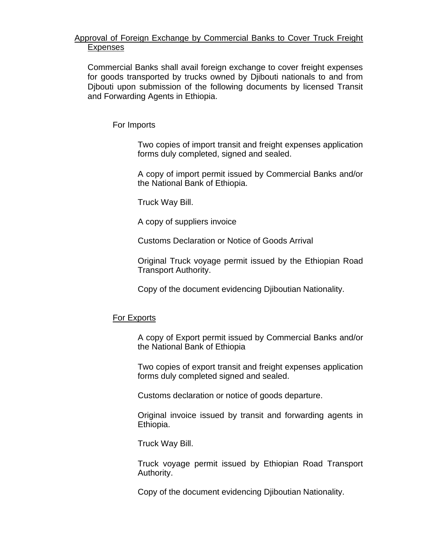# Approval of Foreign Exchange by Commercial Banks to Cover Truck Freight Expenses

Commercial Banks shall avail foreign exchange to cover freight expenses for goods transported by trucks owned by Djibouti nationals to and from Djbouti upon submission of the following documents by licensed Transit and Forwarding Agents in Ethiopia.

For Imports

Two copies of import transit and freight expenses application forms duly completed, signed and sealed.

A copy of import permit issued by Commercial Banks and/or the National Bank of Ethiopia.

Truck Way Bill.

A copy of suppliers invoice

Customs Declaration or Notice of Goods Arrival

Original Truck voyage permit issued by the Ethiopian Road Transport Authority.

Copy of the document evidencing Djiboutian Nationality.

### For Exports

A copy of Export permit issued by Commercial Banks and/or the National Bank of Ethiopia

Two copies of export transit and freight expenses application forms duly completed signed and sealed.

Customs declaration or notice of goods departure.

Original invoice issued by transit and forwarding agents in Ethiopia.

Truck Way Bill.

Truck voyage permit issued by Ethiopian Road Transport Authority.

Copy of the document evidencing Djiboutian Nationality.